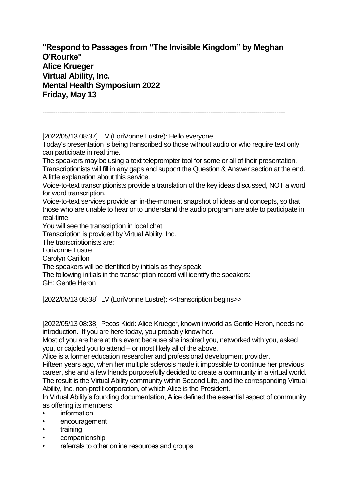**"Respond to Passages from "The Invisible Kingdom" by Meghan O'Rourke" Alice Krueger Virtual Ability, Inc. Mental Health Symposium 2022 Friday, May 13**

------------------------------------------------------------------------------------------------------------------

[2022/05/13 08:37] LV (LoriVonne Lustre): Hello everyone. Today's presentation is being transcribed so those without audio or who require text only can participate in real time.

The speakers may be using a text teleprompter tool for some or all of their presentation. Transcriptionists will fill in any gaps and support the Question & Answer section at the end. A little explanation about this service.

Voice-to-text transcriptionists provide a translation of the key ideas discussed, NOT a word for word transcription.

Voice-to-text services provide an in-the-moment snapshot of ideas and concepts, so that those who are unable to hear or to understand the audio program are able to participate in real-time.

You will see the transcription in local chat.

Transcription is provided by Virtual Ability, Inc.

The transcriptionists are:

Lorivonne Lustre

Carolyn Carillon

The speakers will be identified by initials as they speak.

The following initials in the transcription record will identify the speakers:

GH: Gentle Heron

[2022/05/13 08:38] LV (LoriVonne Lustre): <<transcription begins>>

[2022/05/13 08:38] Pecos Kidd: Alice Krueger, known inworld as Gentle Heron, needs no introduction. If you are here today, you probably know her.

Most of you are here at this event because she inspired you, networked with you, asked you, or cajoled you to attend – or most likely all of the above.

Alice is a former education researcher and professional development provider.

Fifteen years ago, when her multiple sclerosis made it impossible to continue her previous career, she and a few friends purposefully decided to create a community in a virtual world. The result is the Virtual Ability community within Second Life, and the corresponding Virtual Ability, Inc. non-profit corporation, of which Alice is the President.

In Virtual Ability's founding documentation, Alice defined the essential aspect of community as offering its members:

- information
- encouragement
- training
- companionship
- referrals to other online resources and groups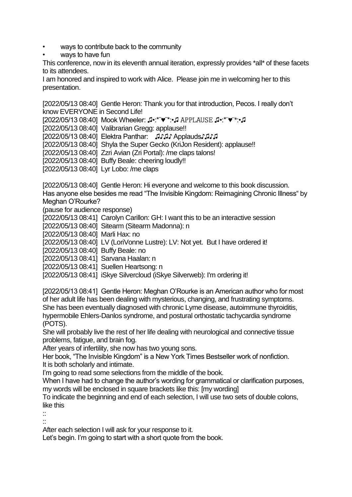- ways to contribute back to the community
- ways to have fun

This conference, now in its eleventh annual iteration, expressly provides \*all\* of these facets to its attendees.

I am honored and inspired to work with Alice. Please join me in welcoming her to this presentation.

[2022/05/13 08:40] Gentle Heron: Thank you for that introduction, Pecos. I really don't know EVERYONE in Second Life!

[2022/05/13 08:40] Mook Wheeler: ♫•:\*¨♥¨\*:•♫ ♫•:\*¨♥¨\*:•♫

[2022/05/13 08:40] Valibrarian Gregg: applause!!

[2022/05/13 08:40] Elektra Panthar: ♫♪♫♪ Applauds♪♫♪♫

[2022/05/13 08:40] Shyla the Super Gecko (KriJon Resident): applause!!

[2022/05/13 08:40] Zzri Avian (Zri Portal): /me claps talons!

[2022/05/13 08:40] Buffy Beale: cheering loudly!!

[2022/05/13 08:40] Lyr Lobo: /me claps

[2022/05/13 08:40] Gentle Heron: Hi everyone and welcome to this book discussion. Has anyone else besides me read "The Invisible Kingdom: Reimagining Chronic Illness" by Meghan O'Rourke?

(pause for audience response)

[2022/05/13 08:41] Carolyn Carillon: GH: I want this to be an interactive session

[2022/05/13 08:40] Sitearm (Sitearm Madonna): n

[2022/05/13 08:40] Marli Hax: no

[2022/05/13 08:40] LV (LoriVonne Lustre): LV: Not yet. But I have ordered it!

[2022/05/13 08:40] Buffy Beale: no

[2022/05/13 08:41] Sarvana Haalan: n

[2022/05/13 08:41] Suellen Heartsong: n

[2022/05/13 08:41] iSkye Silvercloud (iSkye Silverweb): I'm ordering it!

[2022/05/13 08:41] Gentle Heron: Meghan O'Rourke is an American author who for most of her adult life has been dealing with mysterious, changing, and frustrating symptoms. She has been eventually diagnosed with chronic Lyme disease, autoimmune thyroiditis, hypermobile Ehlers-Danlos syndrome, and postural orthostatic tachycardia syndrome (POTS).

She will probably live the rest of her life dealing with neurological and connective tissue problems, fatigue, and brain fog.

After years of infertility, she now has two young sons.

Her book, "The Invisible Kingdom" is a New York Times Bestseller work of nonfiction. It is both scholarly and intimate.

I'm going to read some selections from the middle of the book.

When I have had to change the author's wording for grammatical or clarification purposes, my words will be enclosed in square brackets like this: [my wording]

To indicate the beginning and end of each selection, I will use two sets of double colons, like this

::

::

After each selection I will ask for your response to it.

Let's begin. I'm going to start with a short quote from the book.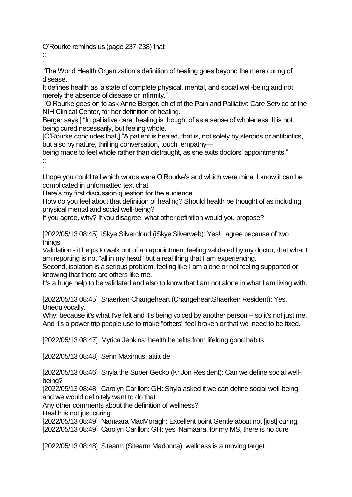O'Rourke reminds us (page 237-238) that

:: ::

"The World Health Organization's definition of healing goes beyond the mere curing of disease.

It defines health as 'a state of complete physical, mental, and social well-being and not merely the absence of disease or infirmity."

[O'Rourke goes on to ask Anne Berger, chief of the Pain and Palliative Care Service at the NIH Clinical Center, for her definition of healing.

Berger says,] "In palliative care, healing is thought of as a sense of wholeness. It is not being cured necessarily, but feeling whole."

[O'Rourke concludes that,] "A patient is healed, that is, not solely by steroids or antibiotics, but also by nature, thrilling conversation, touch, empathy—

being made to feel whole rather than distraught, as she exits doctors' appointments." ::

::

I hope you could tell which words were O'Rourke's and which were mine. I know it can be complicated in unformatted text chat.

Here's my first discussion question for the audience.

How do you feel about that definition of healing? Should health be thought of as including physical mental and social well-being?

If you agree, why? If you disagree, what other definition would you propose?

[2022/05/13 08:45] iSkye Silvercloud (iSkye Silverweb): Yes! I agree because of two things:

Validation - it helps to walk out of an appointment feeling validated by my doctor, that what I am reporting is not "all in my head" but a real thing that I am experiencing.

Second, isolation is a serious problem, feeling like I am alone or not feeling supported or knowing that there are others like me.

It's a huge help to be validated and also to know that I am not alone in what I am living with.

[2022/05/13 08:45] Shaerken Changeheart (ChangeheartShaerken Resident): Yes. Unequivocally.

Why: because it's what I've felt and it's being voiced by another person -- so it's not just me. And it's a power trip people use to make "others" feel broken or that we need to be fixed.

[2022/05/13 08:47] Myrica Jenkins: health benefits from lifelong good habits

[2022/05/13 08:48] Senn Maximus: attitude

[2022/05/13 08:46] Shyla the Super Gecko (KriJon Resident): Can we define social wellbeing?

[2022/05/13 08:48] Carolyn Carillon: GH: Shyla asked if we can define social well-being and we would definitely want to do that

Any other comments about the definition of wellness?

Health is not just curing

[2022/05/13 08:49] Namaara MacMoragh: Excellent point Gentle about not [just] curing. [2022/05/13 08:49] Carolyn Carillon: GH: yes, Namaara, for my MS, there is no cure

[2022/05/13 08:48] Sitearm (Sitearm Madonna): wellness is a moving target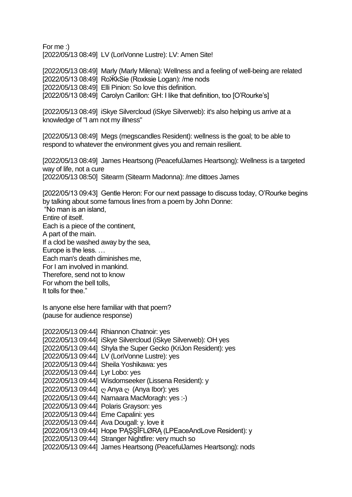For me :) [2022/05/13 08:49] LV (LoriVonne Lustre): LV: Amen Site!

[2022/05/13 08:49] Marly (Marly Milena): Wellness and a feeling of well-being are related [2022/05/13 08:49] RoӜkSie (Roxksie Logan): /me nods [2022/05/13 08:49] Elli Pinion: So love this definition. [2022/05/13 08:49] Carolyn Carillon: GH: I like that definition, too [O'Rourke's]

[2022/05/13 08:49] iSkye Silvercloud (iSkye Silverweb): it's also helping us arrive at a knowledge of "I am not my illness"

[2022/05/13 08:49] Megs (megscandles Resident): wellness is the goal; to be able to respond to whatever the environment gives you and remain resilient.

[2022/05/13 08:49] James Heartsong (PeacefulJames Heartsong): Wellness is a targeted way of life, not a cure [2022/05/13 08:50] Sitearm (Sitearm Madonna): /me dittoes James

[2022/05/13 09:43] Gentle Heron: For our next passage to discuss today, O'Rourke begins by talking about some famous lines from a poem by John Donne:

"No man is an island,

Entire of itself. Each is a piece of the continent, A part of the main. If a clod be washed away by the sea, Europe is the less. … Each man's death diminishes me, For I am involved in mankind. Therefore, send not to know

For whom the bell tolls,

It tolls for thee."

Is anyone else here familiar with that poem? (pause for audience response)

|                                      | [2022/05/13 09:44] Rhiannon Chatnoir: yes                          |
|--------------------------------------|--------------------------------------------------------------------|
|                                      | [2022/05/13 09:44] iSkye Silvercloud (iSkye Silverweb): OH yes     |
|                                      | [2022/05/13 09:44] Shyla the Super Gecko (KriJon Resident): yes    |
|                                      | [2022/05/13 09:44] LV (LoriVonne Lustre): yes                      |
|                                      | [2022/05/13 09:44] Sheila Yoshikawa: yes                           |
| [2022/05/13 09:44] Lyr Lobo: yes     |                                                                    |
|                                      | [2022/05/13 09:44] Wisdomseeker (Lissena Resident): y              |
|                                      | [2022/05/13 09:44] $\circ$ Anya $\circ$ (Anya Ibor): yes           |
|                                      | [2022/05/13 09:44] Namaara MacMoragh: yes :-)                      |
|                                      | [2022/05/13 09:44] Polaris Grayson: yes                            |
| [2022/05/13 09:44] Eme Capalini: yes |                                                                    |
|                                      | [2022/05/13 09:44] Ava Dougall: y. love it                         |
|                                      | [2022/05/13 09:44] Hope PASSIFLØRA (LPEaceAndLove Resident): y     |
|                                      | [2022/05/13 09:44] Stranger Nightfire: very much so                |
|                                      | [2022/05/13 09:44] James Heartsong (PeacefulJames Heartsong): nods |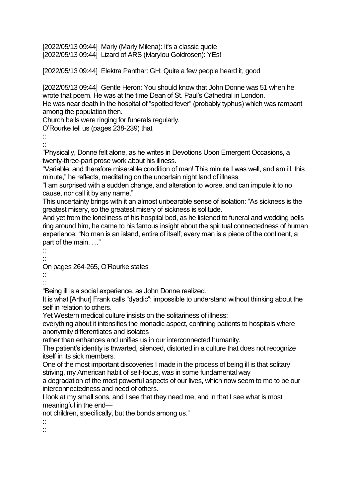[2022/05/13 09:44] Marly (Marly Milena): It's a classic quote [2022/05/13 09:44] Lizard of ARS (Marylou Goldrosen): YEs!

[2022/05/13 09:44] Elektra Panthar: GH: Quite a few people heard it, good

[2022/05/13 09:44] Gentle Heron: You should know that John Donne was 51 when he wrote that poem. He was at the time Dean of St. Paul's Cathedral in London. He was near death in the hospital of "spotted fever" (probably typhus) which was rampant among the population then.

Church bells were ringing for funerals regularly.

O'Rourke tell us (pages 238-239) that

:: ::

"Physically, Donne felt alone, as he writes in Devotions Upon Emergent Occasions, a twenty-three-part prose work about his illness.

"Variable, and therefore miserable condition of man! This minute I was well, and am ill, this minute," he reflects, meditating on the uncertain night land of illness.

"I am surprised with a sudden change, and alteration to worse, and can impute it to no cause, nor call it by any name."

This uncertainty brings with it an almost unbearable sense of isolation: "As sickness is the greatest misery, so the greatest misery of sickness is solitude."

And yet from the loneliness of his hospital bed, as he listened to funeral and wedding bells ring around him, he came to his famous insight about the spiritual connectedness of human experience: "No man is an island, entire of itself; every man is a piece of the continent, a part of the main. …"

::

::

On pages 264-265, O'Rourke states

:: ::

"Being ill is a social experience, as John Donne realized.

It is what [Arthur] Frank calls "dyadic": impossible to understand without thinking about the self in relation to others.

Yet Western medical culture insists on the solitariness of illness:

everything about it intensifies the monadic aspect, confining patients to hospitals where anonymity differentiates and isolates

rather than enhances and unifies us in our interconnected humanity.

The patient's identity is thwarted, silenced, distorted in a culture that does not recognize itself in its sick members.

One of the most important discoveries I made in the process of being ill is that solitary striving, my American habit of self-focus, was in some fundamental way

a degradation of the most powerful aspects of our lives, which now seem to me to be our interconnectedness and need of others.

I look at my small sons, and I see that they need me, and in that I see what is most meaningful in the end—

not children, specifically, but the bonds among us."

::

::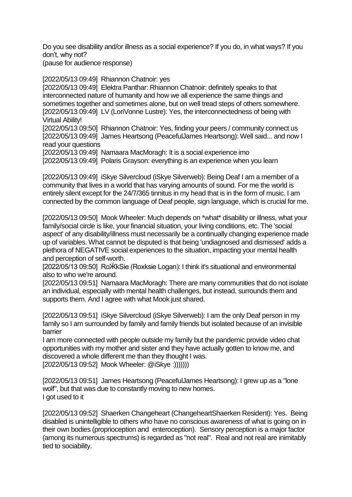Do you see disability and/or illness as a social experience? If you do, in what ways? If you don't, why not?

(pause for audience response)

[2022/05/13 09:49] Rhiannon Chatnoir: yes

[2022/05/13 09:49] Elektra Panthar: Rhiannon Chatnoir: definitely speaks to that interconnected nature of humanity and how we all experience the same things and sometimes together and sometimes alone, but on well tread steps of others somewhere. [2022/05/13 09:49] LV (LoriVonne Lustre): Yes, the interconnectedness of being with Virtual Ability!

[2022/05/13 09:50] Rhiannon Chatnoir: Yes, finding your peers / community connect us [2022/05/13 09:49] James Heartsong (PeacefulJames Heartsong): Well said... and now I read your questions

[2022/05/13 09:49] Namaara MacMoragh: It is a social experience imo

[2022/05/13 09:49] Polaris Grayson: everything is an experience when you learn

[2022/05/13 09:49] iSkye Silvercloud (iSkye Silverweb): Being Deaf I am a member of a community that lives in a world that has varying amounts of sound. For me the world is entirely silent except for the 24/7/365 tinnitus in my head that is in the form of music. I am connected by the common language of Deaf people, sign language, which is crucial for me.

[2022/05/13 09:50] Mook Wheeler: Much depends on \*what\* disability or illness, what your family/social circle is like, your financial situation, your living conditions, etc. The 'social aspect' of any disability/illness must necessarily be a continually changing experience made up of variables. What cannot be disputed is that being 'undiagnosed and dismissed' adds a plethora of NEGATIVE social experiences to the situation, impacting your mental health and perception of self-worth.

[2022/05/13 09:50] RoӜkSie (Roxksie Logan): I think it's situational and environmental also to who we're around.

[2022/05/13 09:51] Namaara MacMoragh: There are many communities that do not isolate an individual, especially with mental health challenges, but instead, surrounds them and supports them. And I agree with what Mook just shared.

[2022/05/13 09:51] iSkye Silvercloud (iSkye Silverweb): I am the only Deaf person in my family so I am surrounded by family and family friends but isolated because of an invisible barrier

I am more connected with people outside my family but the pandemic provide video chat opportunities with my mother and sister and they have actually gotten to know me, and discovered a whole different me than they thought I was. [2022/05/13 09:52] Mook Wheeler: @iSkye :)))))))

[2022/05/13 09:51] James Heartsong (PeacefulJames Heartsong): I grew up as a "lone wolf", but that was due to constantly moving to new homes. I got used to it

[2022/05/13 09:52] Shaerken Changeheart (ChangeheartShaerken Resident): Yes. Being disabled is unintelligible to others who have no conscious awareness of what is going on in their own bodies (proprioception and enteroception). Sensory perception is a major factor (among its numerous spectrums) is regarded as "not real". Real and not real are inimitably tied to sociability.